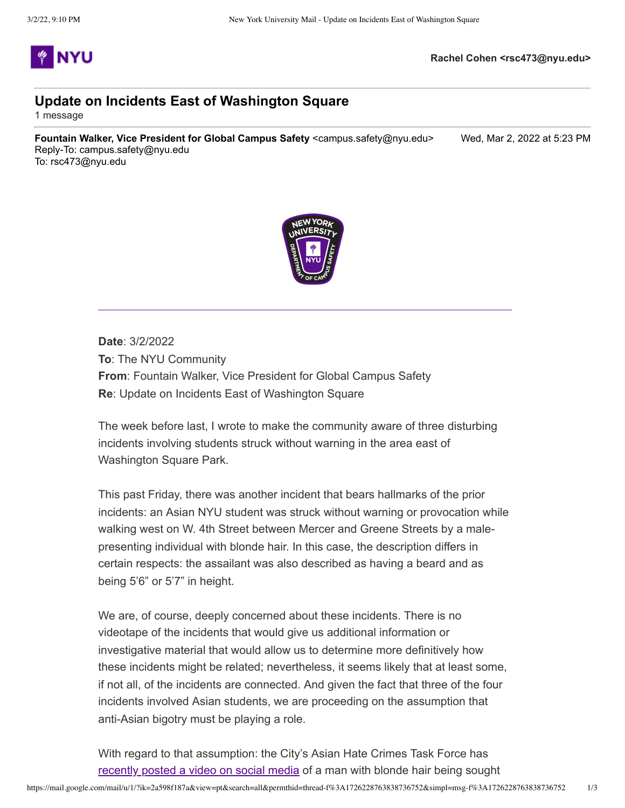

## **Update on Incidents East of Washington Square**

1 message

**Fountain Walker, Vice President for Global Campus Safety** <campus.safety@nyu.edu> Wed, Mar 2, 2022 at 5:23 PM Reply-To: campus.safety@nyu.edu To: rsc473@nyu.edu



**Date**: 3/2/2022 **To**: The NYU Community **From**: Fountain Walker, Vice President for Global Campus Safety **Re**: Update on Incidents East of Washington Square

The week before last, I wrote to make the community aware of three disturbing incidents involving students struck without warning in the area east of Washington Square Park.

This past Friday, there was another incident that bears hallmarks of the prior incidents: an Asian NYU student was struck without warning or provocation while walking west on W. 4th Street between Mercer and Greene Streets by a malepresenting individual with blonde hair. In this case, the description differs in certain respects: the assailant was also described as having a beard and as being 5'6" or 5'7" in height.

We are, of course, deeply concerned about these incidents. There is no videotape of the incidents that would give us additional information or investigative material that would allow us to determine more definitively how these incidents might be related; nevertheless, it seems likely that at least some, if not all, of the incidents are connected. And given the fact that three of the four incidents involved Asian students, we are proceeding on the assumption that anti-Asian bigotry must be playing a role.

With regard to that assumption: the City's Asian Hate Crimes Task Force has [recently posted a video on social media](https://t.e2ma.net/click/r8cfpj/7o8mqjm/zmp4u3b) of a man with blonde hair being sought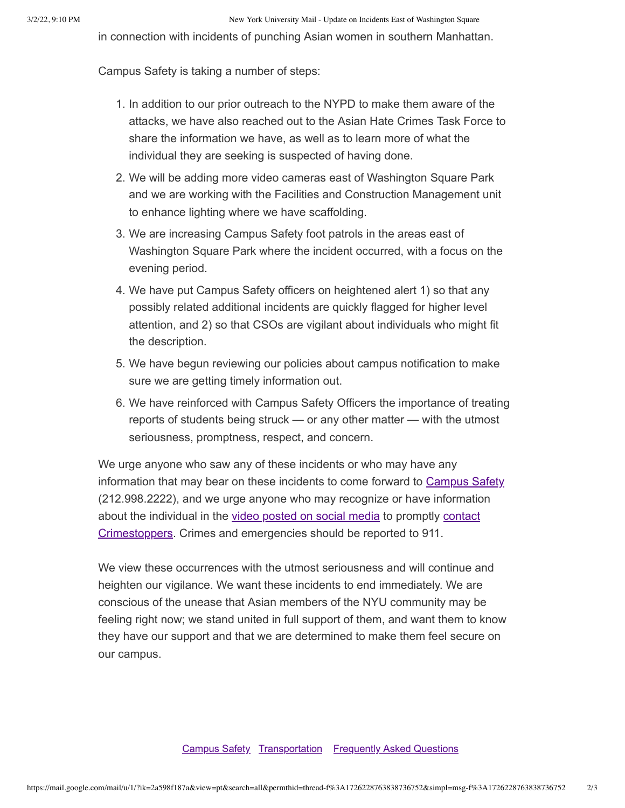in connection with incidents of punching Asian women in southern Manhattan.

Campus Safety is taking a number of steps:

- 1. In addition to our prior outreach to the NYPD to make them aware of the attacks, we have also reached out to the Asian Hate Crimes Task Force to share the information we have, as well as to learn more of what the individual they are seeking is suspected of having done.
- 2. We will be adding more video cameras east of Washington Square Park and we are working with the Facilities and Construction Management unit to enhance lighting where we have scaffolding.
- 3. We are increasing Campus Safety foot patrols in the areas east of Washington Square Park where the incident occurred, with a focus on the evening period.
- 4. We have put Campus Safety officers on heightened alert 1) so that any possibly related additional incidents are quickly flagged for higher level attention, and 2) so that CSOs are vigilant about individuals who might fit the description.
- 5. We have begun reviewing our policies about campus notification to make sure we are getting timely information out.
- 6. We have reinforced with Campus Safety Officers the importance of treating reports of students being struck — or any other matter — with the utmost seriousness, promptness, respect, and concern.

We urge anyone who saw any of these incidents or who may have any information that may bear on these incidents to come forward to [Campus Safety](https://t.e2ma.net/click/r8cfpj/7o8mqjm/ffq4u3b) (212.998.2222), and we urge anyone who may recognize or have information [about the individual in the video posted on social media to promptly contact](https://t.e2ma.net/click/r8cfpj/7o8mqjm/b0r4u3b) Crimestoppers. Crimes and emergencies should be reported to 911.

We view these occurrences with the utmost seriousness and will continue and heighten our vigilance. We want these incidents to end immediately. We are conscious of the unease that Asian members of the NYU community may be feeling right now; we stand united in full support of them, and want them to know they have our support and that we are determined to make them feel secure on our campus.